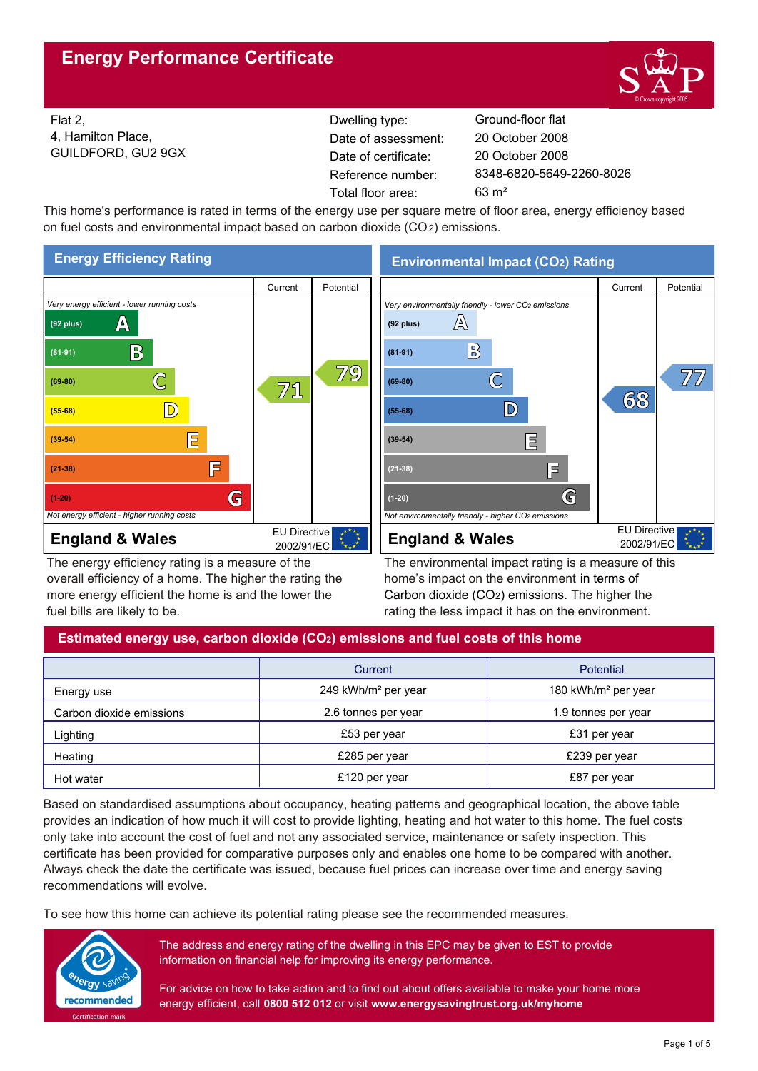

Flat 2, 4, Hamilton Place, GUILDFORD, GU2 9GX Reference number: Dwelling type: Ground-floor flat Date of certificate: Total floor area: 63 m² Date of assessment:

8348-6820-5649-2260-8026 20 October 2008 20 October 2008

This home's performance is rated in terms of the energy use per square metre of floor area, energy efficiency based on fuel costs and environmental impact based on carbon dioxide (CO2) emissions.



The energy efficiency rating is a measure of the overall efficiency of a home. The higher the rating the more energy efficient the home is and the lower the fuel bills are likely to be.

**Environmental Impact (CO2) Rating**



The environmental impact rating is a measure of this home's impact on the environment in terms of Carbon dioxide (CO2) emissions. The higher the rating the less impact it has on the environment.

# **Estimated energy use, carbon dioxide (CO2) emissions and fuel costs of this home**

|                          | Current                         | Potential                       |  |
|--------------------------|---------------------------------|---------------------------------|--|
| Energy use               | 249 kWh/m <sup>2</sup> per year | 180 kWh/m <sup>2</sup> per year |  |
| Carbon dioxide emissions | 2.6 tonnes per year             | 1.9 tonnes per year             |  |
| Lighting                 | £53 per year                    | £31 per year                    |  |
| Heating                  | £285 per year                   | £239 per year                   |  |
| Hot water                | £120 per year                   | £87 per year                    |  |

Based on standardised assumptions about occupancy, heating patterns and geographical location, the above table provides an indication of how much it will cost to provide lighting, heating and hot water to this home. The fuel costs only take into account the cost of fuel and not any associated service, maintenance or safety inspection. This certificate has been provided for comparative purposes only and enables one home to be compared with another. Always check the date the certificate was issued, because fuel prices can increase over time and energy saving recommendations will evolve.

To see how this home can achieve its potential rating please see the recommended measures.



The address and energy rating of the dwelling in this EPC may be given to EST to provide information on financial help for improving its energy performance.

For advice on how to take action and to find out about offers available to make your home more energy efficient, call **0800 512 012** or visit **www.energysavingtrust.org.uk/myhome**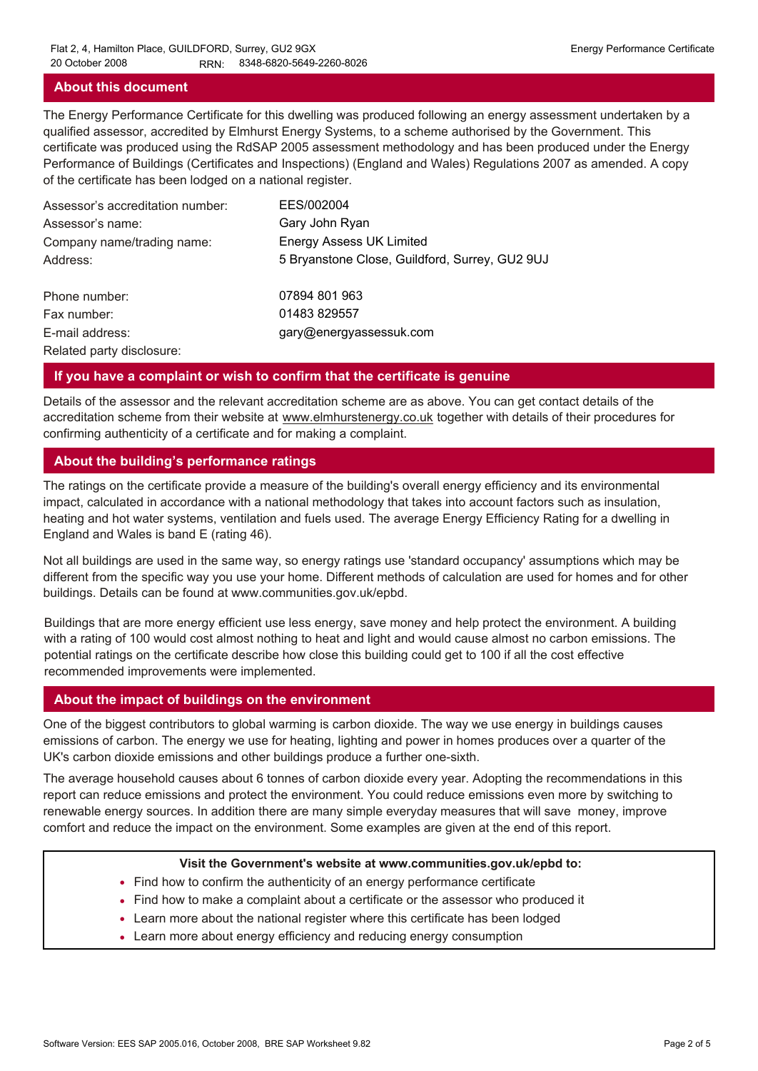#### **About this document**

The Energy Performance Certificate for this dwelling was produced following an energy assessment undertaken by a qualified assessor, accredited by Elmhurst Energy Systems, to a scheme authorised by the Government. This certificate was produced using the RdSAP 2005 assessment methodology and has been produced under the Energy Performance of Buildings (Certificates and Inspections) (England and Wales) Regulations 2007 as amended. A copy of the certificate has been lodged on a national register.

| Assessor's accreditation number: | EES/002004                                     |
|----------------------------------|------------------------------------------------|
| Assessor's name:                 | Gary John Ryan                                 |
| Company name/trading name:       | <b>Energy Assess UK Limited</b>                |
| Address:                         | 5 Bryanstone Close, Guildford, Surrey, GU2 9UJ |
| Phone number:                    | 07894 801 963                                  |
| Fax number:                      | 01483 829557                                   |
| E-mail address:                  | gary@energyassessuk.com                        |
| Related party disclosure:        |                                                |

#### **If you have a complaint or wish to confirm that the certificate is genuine**

Details of the assessor and the relevant accreditation scheme are as above. You can get contact details of the accreditation scheme from their website at www.elmhurstenergy.co.uk together with details of their procedures for confirming authenticity of a certificate and for making a complaint.

#### **About the building's performance ratings**

The ratings on the certificate provide a measure of the building's overall energy efficiency and its environmental impact, calculated in accordance with a national methodology that takes into account factors such as insulation, heating and hot water systems, ventilation and fuels used. The average Energy Efficiency Rating for a dwelling in England and Wales is band E (rating 46).

Not all buildings are used in the same way, so energy ratings use 'standard occupancy' assumptions which may be different from the specific way you use your home. Different methods of calculation are used for homes and for other buildings. Details can be found at www.communities.gov.uk/epbd.

Buildings that are more energy efficient use less energy, save money and help protect the environment. A building with a rating of 100 would cost almost nothing to heat and light and would cause almost no carbon emissions. The potential ratings on the certificate describe how close this building could get to 100 if all the cost effective recommended improvements were implemented.

#### **About the impact of buildings on the environment**

One of the biggest contributors to global warming is carbon dioxide. The way we use energy in buildings causes emissions of carbon. The energy we use for heating, lighting and power in homes produces over a quarter of the UK's carbon dioxide emissions and other buildings produce a further one-sixth.

The average household causes about 6 tonnes of carbon dioxide every year. Adopting the recommendations in this report can reduce emissions and protect the environment. You could reduce emissions even more by switching to renewable energy sources. In addition there are many simple everyday measures that will save money, improve comfort and reduce the impact on the environment. Some examples are given at the end of this report.

#### **Visit the Government's website at www.communities.gov.uk/epbd to:**

- Find how to confirm the authenticity of an energy performance certificate
- Find how to make a complaint about a certificate or the assessor who produced it •
- Learn more about the national register where this certificate has been lodged •
- Learn more about energy efficiency and reducing energy consumption •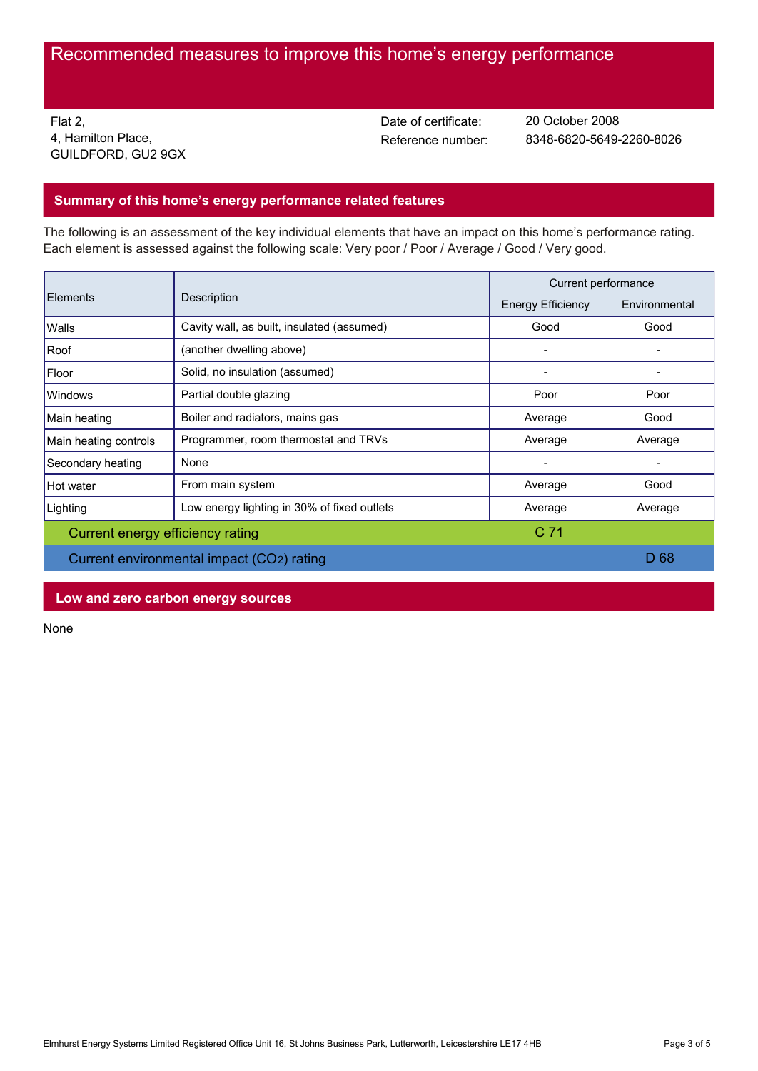Flat 2, 4, Hamilton Place, GUILDFORD, GU2 9GX Date of certificate:

Reference number: 8348-6820-5649-2260-8026 20 October 2008

## **Summary of this home's energy performance related features**

The following is an assessment of the key individual elements that have an impact on this home's performance rating. Each element is assessed against the following scale: Very poor / Poor / Average / Good / Very good.

| Elements                                  | Description                                 | Current performance      |               |
|-------------------------------------------|---------------------------------------------|--------------------------|---------------|
|                                           |                                             | <b>Energy Efficiency</b> | Environmental |
| Walls                                     | Cavity wall, as built, insulated (assumed)  | Good                     | Good          |
| Roof                                      | (another dwelling above)                    |                          |               |
| Floor                                     | Solid, no insulation (assumed)              |                          |               |
| Windows                                   | Partial double glazing                      | Poor                     | Poor          |
| Main heating                              | Boiler and radiators, mains gas             | Average                  | Good          |
| Main heating controls                     | Programmer, room thermostat and TRVs        | Average                  | Average       |
| Secondary heating                         | None                                        |                          |               |
| Hot water                                 | From main system                            | Average                  | Good          |
| Lighting                                  | Low energy lighting in 30% of fixed outlets | Average                  | Average       |
| Current energy efficiency rating          |                                             | C <sub>71</sub>          |               |
| Current environmental impact (CO2) rating |                                             |                          | D 68          |

**Low and zero carbon energy sources**

None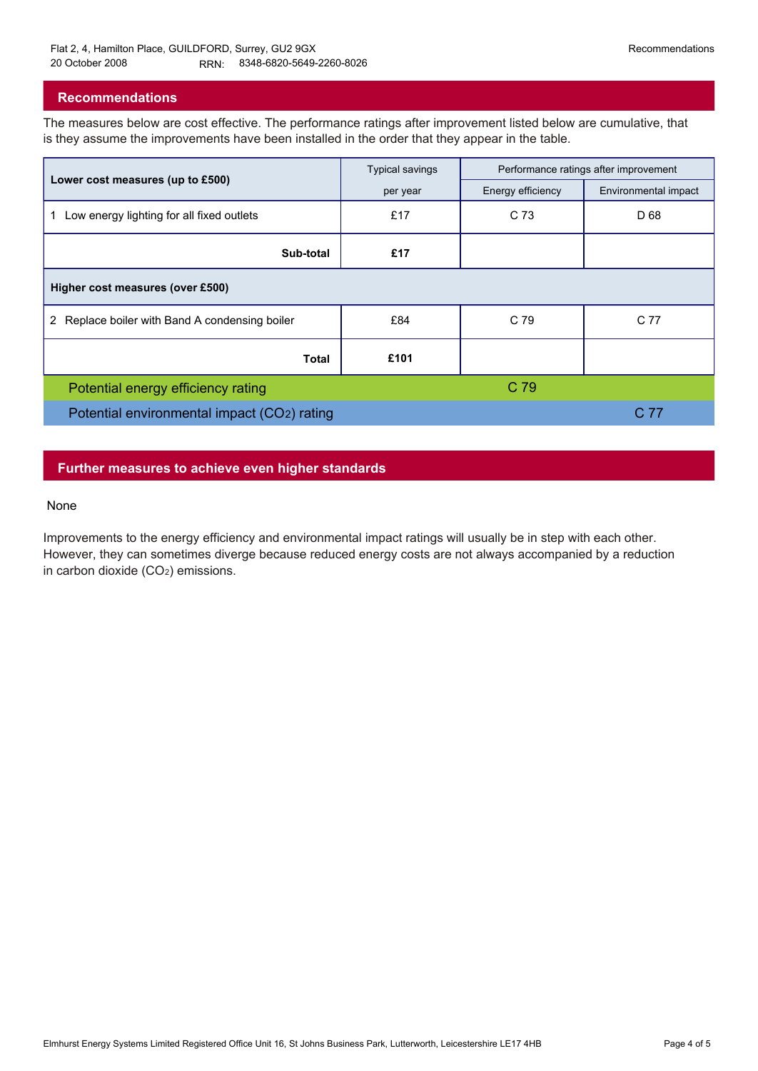### **Recommendations**

The measures below are cost effective. The performance ratings after improvement listed below are cumulative, that is they assume the improvements have been installed in the order that they appear in the table.

|                                                 | <b>Typical savings</b> | Performance ratings after improvement |                      |  |  |  |
|-------------------------------------------------|------------------------|---------------------------------------|----------------------|--|--|--|
| Lower cost measures (up to £500)                | per year               | Energy efficiency                     | Environmental impact |  |  |  |
| Low energy lighting for all fixed outlets<br>1. | £17                    | C 73                                  | D 68                 |  |  |  |
| Sub-total                                       | £17                    |                                       |                      |  |  |  |
| Higher cost measures (over £500)                |                        |                                       |                      |  |  |  |
| 2 Replace boiler with Band A condensing boiler  | £84                    | C 79                                  | C 77                 |  |  |  |
| Total                                           | £101                   |                                       |                      |  |  |  |
| Potential energy efficiency rating              |                        | C 79                                  |                      |  |  |  |
| Potential environmental impact (CO2) rating     |                        |                                       | C 77                 |  |  |  |

### **Further measures to achieve even higher standards**

#### None

Improvements to the energy efficiency and environmental impact ratings will usually be in step with each other. However, they can sometimes diverge because reduced energy costs are not always accompanied by a reduction in carbon dioxide (CO2) emissions.